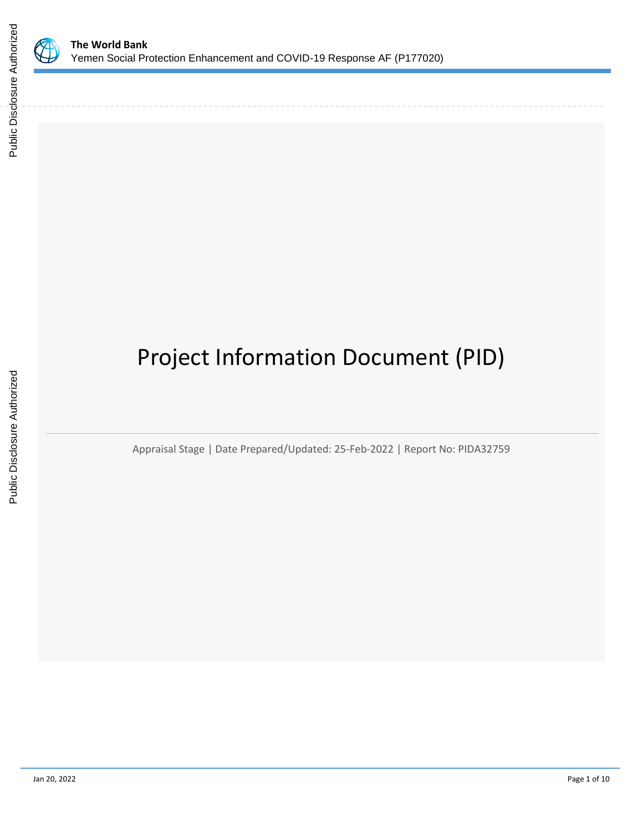

# Project Information Document (PID)

Appraisal Stage | Date Prepared/Updated: 25-Feb-2022 | Report No: PIDA32759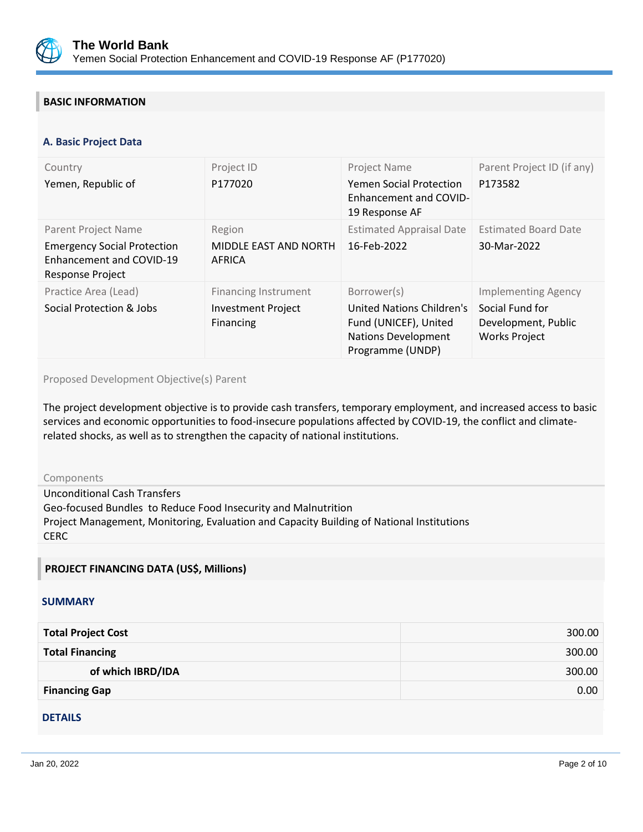

## **BASIC INFORMATION**

#### **OPS\_TABLE\_BASIC\_DATA A. Basic Project Data**

| Country<br>Yemen, Republic of                                                                             | Project ID<br>P177020                                                 | Project Name<br><b>Yemen Social Protection</b><br><b>Enhancement and COVID-</b><br>19 Response AF                   | Parent Project ID (if any)<br>P173582                                                        |
|-----------------------------------------------------------------------------------------------------------|-----------------------------------------------------------------------|---------------------------------------------------------------------------------------------------------------------|----------------------------------------------------------------------------------------------|
| Parent Project Name<br><b>Emergency Social Protection</b><br>Enhancement and COVID-19<br>Response Project | Region<br>MIDDLE EAST AND NORTH<br>AFRICA                             | <b>Estimated Appraisal Date</b><br>16-Feb-2022                                                                      | <b>Estimated Board Date</b><br>30-Mar-2022                                                   |
| Practice Area (Lead)<br>Social Protection & Jobs                                                          | <b>Financing Instrument</b><br><b>Investment Project</b><br>Financing | Borrower(s)<br>United Nations Children's<br>Fund (UNICEF), United<br><b>Nations Development</b><br>Programme (UNDP) | <b>Implementing Agency</b><br>Social Fund for<br>Development, Public<br><b>Works Project</b> |

### Proposed Development Objective(s) Parent

The project development objective is to provide cash transfers, temporary employment, and increased access to basic services and economic opportunities to food-insecure populations affected by COVID-19, the conflict and climaterelated shocks, as well as to strengthen the capacity of national institutions.

#### Components

Unconditional Cash Transfers Geo-focused Bundles to Reduce Food Insecurity and Malnutrition Project Management, Monitoring, Evaluation and Capacity Building of National Institutions **CERC** 

## **PROJECT FINANCING DATA (US\$, Millions)**

#### **SUMMARY**

| <b>Total Project Cost</b> | 300.00 |
|---------------------------|--------|
| <b>Total Financing</b>    | 300.00 |
| of which IBRD/IDA         | 300.00 |
| <b>Financing Gap</b>      | 0.00   |

## **DETAILS**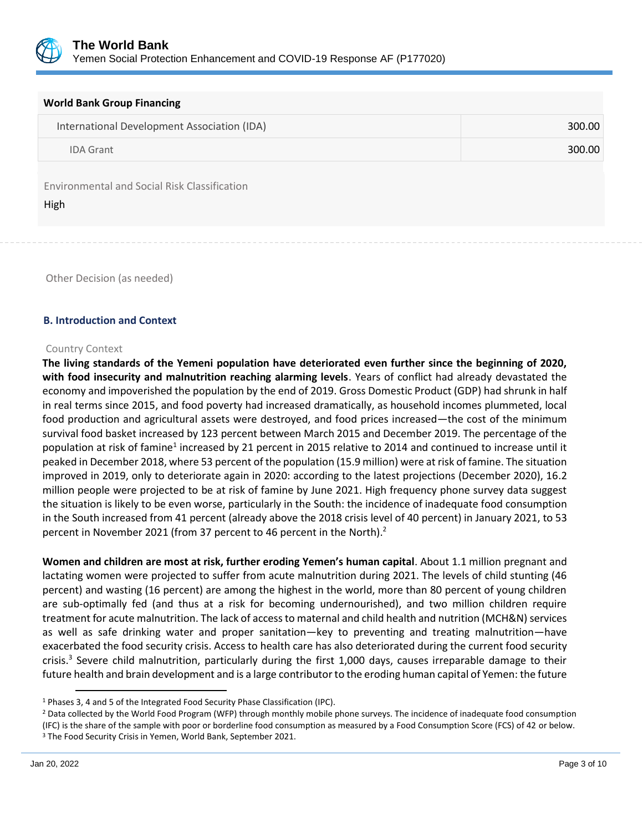

| <b>World Bank Group Financing</b>                    |        |  |
|------------------------------------------------------|--------|--|
| International Development Association (IDA)          | 300.00 |  |
| <b>IDA Grant</b>                                     | 300.00 |  |
| Environmental and Social Risk Classification<br>High |        |  |

Other Decision (as needed)

### **B. Introduction and Context**

#### Country Context

**The living standards of the Yemeni population have deteriorated even further since the beginning of 2020, with food insecurity and malnutrition reaching alarming levels**. Years of conflict had already devastated the economy and impoverished the population by the end of 2019. Gross Domestic Product (GDP) had shrunk in half in real terms since 2015, and food poverty had increased dramatically, as household incomes plummeted, local food production and agricultural assets were destroyed, and food prices increased—the cost of the minimum survival food basket increased by 123 percent between March 2015 and December 2019. The percentage of the population at risk of famine<sup>1</sup> increased by 21 percent in 2015 relative to 2014 and continued to increase until it peaked in December 2018, where 53 percent of the population (15.9 million) were at risk of famine. The situation improved in 2019, only to deteriorate again in 2020: according to the latest projections (December 2020), 16.2 million people were projected to be at risk of famine by June 2021. High frequency phone survey data suggest the situation is likely to be even worse, particularly in the South: the incidence of inadequate food consumption in the South increased from 41 percent (already above the 2018 crisis level of 40 percent) in January 2021, to 53 percent in November 2021 (from 37 percent to 46 percent in the North).<sup>2</sup>

**Women and children are most at risk, further eroding Yemen's human capital**. About 1.1 million pregnant and lactating women were projected to suffer from acute malnutrition during 2021. The levels of child stunting (46 percent) and wasting (16 percent) are among the highest in the world, more than 80 percent of young children are sub-optimally fed (and thus at a risk for becoming undernourished), and two million children require treatment for acute malnutrition. The lack of access to maternal and child health and nutrition (MCH&N) services as well as safe drinking water and proper sanitation—key to preventing and treating malnutrition—have exacerbated the food security crisis. Access to health care has also deteriorated during the current food security crisis.<sup>3</sup> Severe child malnutrition, particularly during the first 1,000 days, causes irreparable damage to their future health and brain development and is a large contributor to the eroding human capital of Yemen: the future

<sup>1</sup> Phases 3, 4 and 5 of the Integrated Food Security Phase Classification (IPC).

<sup>&</sup>lt;sup>2</sup> Data collected by the World Food Program (WFP) through monthly mobile phone surveys. The incidence of inadequate food consumption

<sup>(</sup>IFC) is the share of the sample with poor or borderline food consumption as measured by a Food Consumption Score (FCS) of 42 or below.

<sup>&</sup>lt;sup>3</sup> The Food Security Crisis in Yemen, World Bank, September 2021.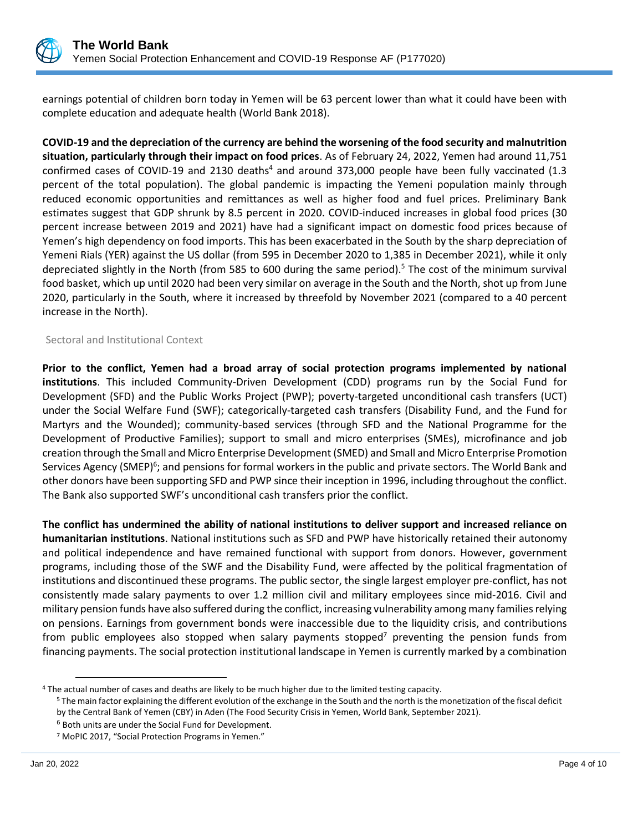

earnings potential of children born today in Yemen will be 63 percent lower than what it could have been with complete education and adequate health (World Bank 2018).

**COVID-19 and the depreciation of the currency are behind the worsening of the food security and malnutrition situation, particularly through their impact on food prices**. As of February 24, 2022, Yemen had around 11,751 confirmed cases of COVID-19 and 2130 deaths $4$  and around 373,000 people have been fully vaccinated (1.3 percent of the total population). The global pandemic is impacting the Yemeni population mainly through reduced economic opportunities and remittances as well as higher food and fuel prices. Preliminary Bank estimates suggest that GDP shrunk by 8.5 percent in 2020. COVID-induced increases in global food prices (30 percent increase between 2019 and 2021) have had a significant impact on domestic food prices because of Yemen's high dependency on food imports. This has been exacerbated in the South by the sharp depreciation of Yemeni Rials (YER) against the US dollar (from 595 in December 2020 to 1,385 in December 2021), while it only depreciated slightly in the North (from 585 to 600 during the same period).<sup>5</sup> The cost of the minimum survival food basket, which up until 2020 had been very similar on average in the South and the North, shot up from June 2020, particularly in the South, where it increased by threefold by November 2021 (compared to a 40 percent increase in the North).

### Sectoral and Institutional Context

**Prior to the conflict, Yemen had a broad array of social protection programs implemented by national institutions**. This included Community-Driven Development (CDD) programs run by the Social Fund for Development (SFD) and the Public Works Project (PWP); poverty-targeted unconditional cash transfers (UCT) under the Social Welfare Fund (SWF); categorically-targeted cash transfers (Disability Fund, and the Fund for Martyrs and the Wounded); community-based services (through SFD and the National Programme for the Development of Productive Families); support to small and micro enterprises (SMEs), microfinance and job creation through the Small and Micro Enterprise Development (SMED) and Small and Micro Enterprise Promotion Services Agency (SMEP)<sup>6</sup>; and pensions for formal workers in the public and private sectors. The World Bank and other donors have been supporting SFD and PWP since their inception in 1996, including throughout the conflict. The Bank also supported SWF's unconditional cash transfers prior the conflict.

**The conflict has undermined the ability of national institutions to deliver support and increased reliance on humanitarian institutions**. National institutions such as SFD and PWP have historically retained their autonomy and political independence and have remained functional with support from donors. However, government programs, including those of the SWF and the Disability Fund, were affected by the political fragmentation of institutions and discontinued these programs. The public sector, the single largest employer pre-conflict, has not consistently made salary payments to over 1.2 million civil and military employees since mid-2016. Civil and military pension funds have also suffered during the conflict, increasing vulnerability among many families relying on pensions. Earnings from government bonds were inaccessible due to the liquidity crisis, and contributions from public employees also stopped when salary payments stopped<sup>7</sup> preventing the pension funds from financing payments. The social protection institutional landscape in Yemen is currently marked by a combination

<sup>4</sup> The actual number of cases and deaths are likely to be much higher due to the limited testing capacity.

<sup>&</sup>lt;sup>5</sup> The main factor explaining the different evolution of the exchange in the South and the north is the monetization of the fiscal deficit by the Central Bank of Yemen (CBY) in Aden (The Food Security Crisis in Yemen, World Bank, September 2021).

<sup>6</sup> Both units are under the Social Fund for Development.

<sup>7</sup> MoPIC 2017, "Social Protection Programs in Yemen."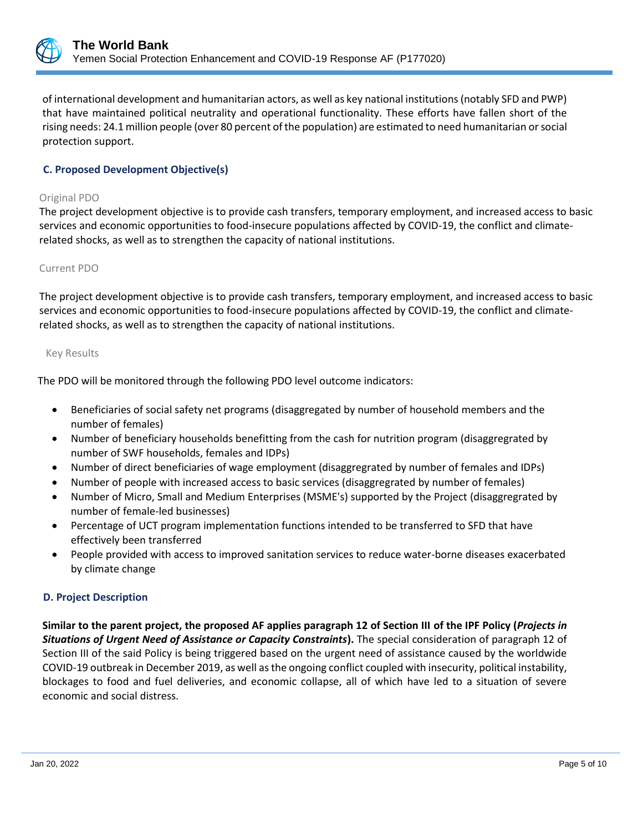

of international development and humanitarian actors, as well as key national institutions (notably SFD and PWP) that have maintained political neutrality and operational functionality. These efforts have fallen short of the rising needs: 24.1 million people (over 80 percent of the population) are estimated to need humanitarian or social protection support.

## **C. Proposed Development Objective(s)**

#### Original PDO

The project development objective is to provide cash transfers, temporary employment, and increased access to basic services and economic opportunities to food-insecure populations affected by COVID-19, the conflict and climaterelated shocks, as well as to strengthen the capacity of national institutions.

### Current PDO

The project development objective is to provide cash transfers, temporary employment, and increased access to basic services and economic opportunities to food-insecure populations affected by COVID-19, the conflict and climaterelated shocks, as well as to strengthen the capacity of national institutions.

#### Key Results

The PDO will be monitored through the following PDO level outcome indicators:

- Beneficiaries of social safety net programs (disaggregated by number of household members and the number of females)
- Number of beneficiary households benefitting from the cash for nutrition program (disaggregrated by number of SWF households, females and IDPs)
- Number of direct beneficiaries of wage employment (disaggregrated by number of females and IDPs)
- Number of people with increased access to basic services (disaggregrated by number of females)
- Number of Micro, Small and Medium Enterprises (MSME's) supported by the Project (disaggregrated by number of female-led businesses)
- Percentage of UCT program implementation functions intended to be transferred to SFD that have effectively been transferred
- People provided with access to improved sanitation services to reduce water-borne diseases exacerbated by climate change

## **D. Project Description**

**Similar to the parent project, the proposed AF applies paragraph 12 of Section III of the IPF Policy (***Projects in Situations of Urgent Need of Assistance or Capacity Constraints***).** The special consideration of paragraph 12 of Section III of the said Policy is being triggered based on the urgent need of assistance caused by the worldwide COVID-19 outbreak in December 2019, as well as the ongoing conflict coupled with insecurity, political instability, blockages to food and fuel deliveries, and economic collapse, all of which have led to a situation of severe economic and social distress.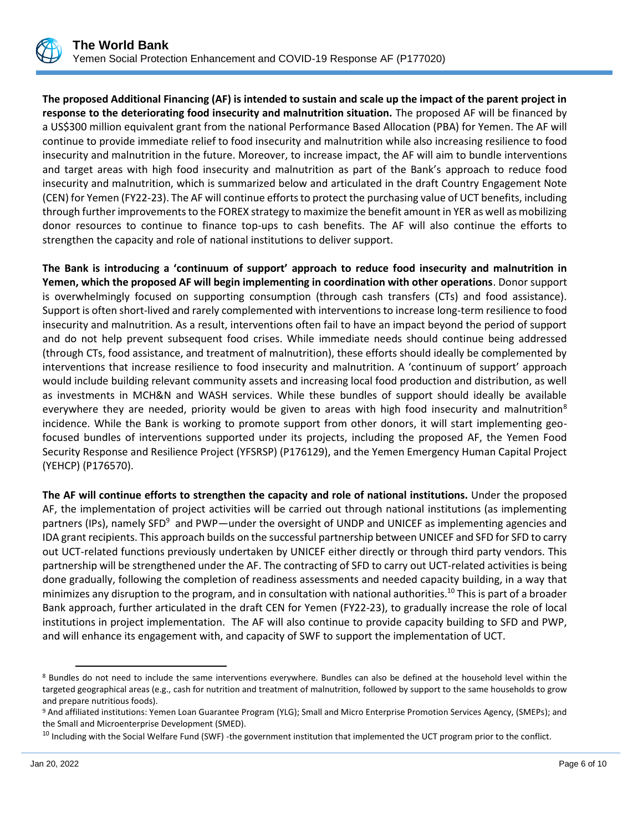

**The proposed Additional Financing (AF) is intended to sustain and scale up the impact of the parent project in response to the deteriorating food insecurity and malnutrition situation.** The proposed AF will be financed by a US\$300 million equivalent grant from the national Performance Based Allocation (PBA) for Yemen. The AF will continue to provide immediate relief to food insecurity and malnutrition while also increasing resilience to food insecurity and malnutrition in the future. Moreover, to increase impact, the AF will aim to bundle interventions and target areas with high food insecurity and malnutrition as part of the Bank's approach to reduce food insecurity and malnutrition, which is summarized below and articulated in the draft Country Engagement Note (CEN) for Yemen (FY22-23). The AF will continue efforts to protect the purchasing value of UCT benefits, including through further improvements to the FOREX strategy to maximize the benefit amount in YER as well as mobilizing donor resources to continue to finance top-ups to cash benefits. The AF will also continue the efforts to strengthen the capacity and role of national institutions to deliver support.

**The Bank is introducing a 'continuum of support' approach to reduce food insecurity and malnutrition in Yemen, which the proposed AF will begin implementing in coordination with other operations**. Donor support is overwhelmingly focused on supporting consumption (through cash transfers (CTs) and food assistance). Support is often short-lived and rarely complemented with interventions to increase long-term resilience to food insecurity and malnutrition. As a result, interventions often fail to have an impact beyond the period of support and do not help prevent subsequent food crises. While immediate needs should continue being addressed (through CTs, food assistance, and treatment of malnutrition), these efforts should ideally be complemented by interventions that increase resilience to food insecurity and malnutrition. A 'continuum of support' approach would include building relevant community assets and increasing local food production and distribution, as well as investments in MCH&N and WASH services. While these bundles of support should ideally be available everywhere they are needed, priority would be given to areas with high food insecurity and malnutrition<sup>8</sup> incidence. While the Bank is working to promote support from other donors, it will start implementing geofocused bundles of interventions supported under its projects, including the proposed AF, the Yemen Food Security Response and Resilience Project (YFSRSP) (P176129), and the Yemen Emergency Human Capital Project (YEHCP) (P176570).

**The AF will continue efforts to strengthen the capacity and role of national institutions.** Under the proposed AF, the implementation of project activities will be carried out through national institutions (as implementing partners (IPs), namely SFD<sup>9</sup> and PWP—under the oversight of UNDP and UNICEF as implementing agencies and IDA grant recipients. This approach builds on the successful partnership between UNICEF and SFD for SFD to carry out UCT-related functions previously undertaken by UNICEF either directly or through third party vendors. This partnership will be strengthened under the AF. The contracting of SFD to carry out UCT-related activities is being done gradually, following the completion of readiness assessments and needed capacity building, in a way that minimizes any disruption to the program, and in consultation with national authorities.<sup>10</sup> This is part of a broader Bank approach, further articulated in the draft CEN for Yemen (FY22-23), to gradually increase the role of local institutions in project implementation. The AF will also continue to provide capacity building to SFD and PWP, and will enhance its engagement with, and capacity of SWF to support the implementation of UCT.

<sup>8</sup> Bundles do not need to include the same interventions everywhere. Bundles can also be defined at the household level within the targeted geographical areas (e.g., cash for nutrition and treatment of malnutrition, followed by support to the same households to grow and prepare nutritious foods).

<sup>9</sup> And affiliated institutions: Yemen Loan Guarantee Program (YLG); Small and Micro Enterprise Promotion Services Agency, (SMEPs); and the Small and Microenterprise Development (SMED).

 $^{10}$  Including with the Social Welfare Fund (SWF) -the government institution that implemented the UCT program prior to the conflict.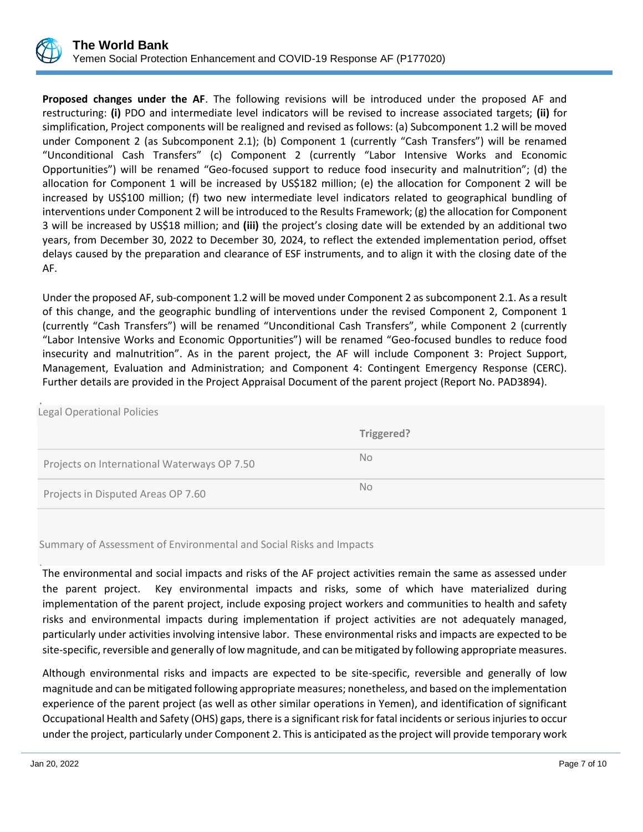

**Proposed changes under the AF**. The following revisions will be introduced under the proposed AF and restructuring: **(i)** PDO and intermediate level indicators will be revised to increase associated targets; **(ii)** for simplification, Project components will be realigned and revised as follows: (a) Subcomponent 1.2 will be moved under Component 2 (as Subcomponent 2.1); (b) Component 1 (currently "Cash Transfers") will be renamed "Unconditional Cash Transfers" (c) Component 2 (currently "Labor Intensive Works and Economic Opportunities") will be renamed "Geo-focused support to reduce food insecurity and malnutrition"; (d) the allocation for Component 1 will be increased by US\$182 million; (e) the allocation for Component 2 will be increased by US\$100 million; (f) two new intermediate level indicators related to geographical bundling of interventions under Component 2 will be introduced to the Results Framework; (g) the allocation for Component 3 will be increased by US\$18 million; and **(iii)** the project's closing date will be extended by an additional two years, from December 30, 2022 to December 30, 2024, to reflect the extended implementation period, offset delays caused by the preparation and clearance of ESF instruments, and to align it with the closing date of the AF.

Under the proposed AF, sub-component 1.2 will be moved under Component 2 as subcomponent 2.1. As a result of this change, and the geographic bundling of interventions under the revised Component 2, Component 1 (currently "Cash Transfers") will be renamed "Unconditional Cash Transfers", while Component 2 (currently "Labor Intensive Works and Economic Opportunities") will be renamed "Geo-focused bundles to reduce food insecurity and malnutrition". As in the parent project, the AF will include Component 3: Project Support, Management, Evaluation and Administration; and Component 4: Contingent Emergency Response (CERC). Further details are provided in the Project Appraisal Document of the parent project (Report No. PAD3894).

| <b>Legal Operational Policies</b>           |            |
|---------------------------------------------|------------|
|                                             |            |
|                                             | Triggered? |
|                                             |            |
| Projects on International Waterways OP 7.50 | No.        |
|                                             | No.        |
| Projects in Disputed Areas OP 7.60          |            |

Summary of Assessment of Environmental and Social Risks and Impacts

. The environmental and social impacts and risks of the AF project activities remain the same as assessed under the parent project. Key environmental impacts and risks, some of which have materialized during implementation of the parent project, include exposing project workers and communities to health and safety risks and environmental impacts during implementation if project activities are not adequately managed, particularly under activities involving intensive labor. These environmental risks and impacts are expected to be site-specific, reversible and generally of low magnitude, and can be mitigated by following appropriate measures.

Although environmental risks and impacts are expected to be site-specific, reversible and generally of low magnitude and can be mitigated following appropriate measures; nonetheless, and based on the implementation experience of the parent project (as well as other similar operations in Yemen), and identification of significant Occupational Health and Safety (OHS) gaps, there is a significant risk for fatal incidents or serious injuries to occur under the project, particularly under Component 2. This is anticipated as the project will provide temporary work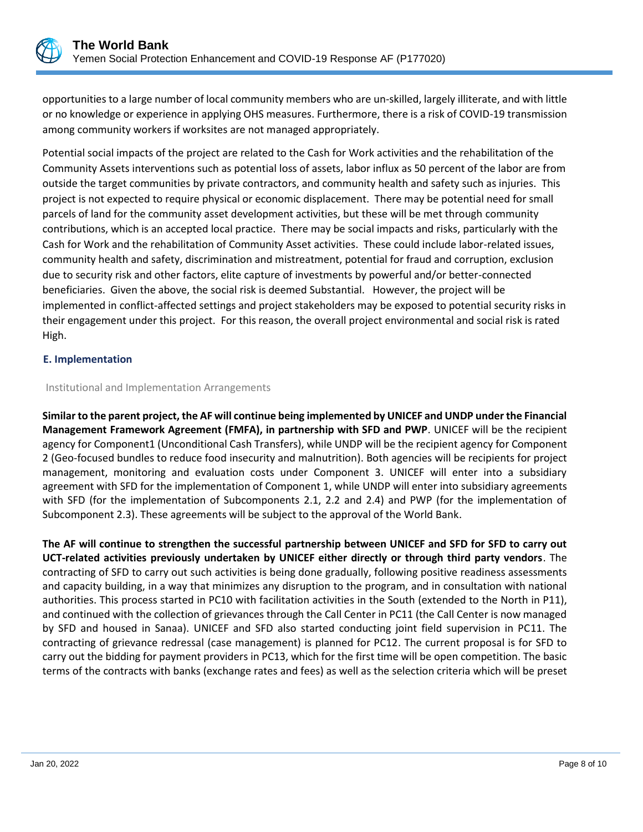

opportunities to a large number of local community members who are un-skilled, largely illiterate, and with little or no knowledge or experience in applying OHS measures. Furthermore, there is a risk of COVID-19 transmission among community workers if worksites are not managed appropriately.

Potential social impacts of the project are related to the Cash for Work activities and the rehabilitation of the Community Assets interventions such as potential loss of assets, labor influx as 50 percent of the labor are from outside the target communities by private contractors, and community health and safety such as injuries. This project is not expected to require physical or economic displacement. There may be potential need for small parcels of land for the community asset development activities, but these will be met through community contributions, which is an accepted local practice. There may be social impacts and risks, particularly with the Cash for Work and the rehabilitation of Community Asset activities. These could include labor-related issues, community health and safety, discrimination and mistreatment, potential for fraud and corruption, exclusion due to security risk and other factors, elite capture of investments by powerful and/or better-connected beneficiaries. Given the above, the social risk is deemed Substantial. However, the project will be implemented in conflict-affected settings and project stakeholders may be exposed to potential security risks in their engagement under this project. For this reason, the overall project environmental and social risk is rated High.

### **E. Implementation**

### Institutional and Implementation Arrangements

**Similar to the parent project, the AF will continue being implemented by UNICEF and UNDP under the Financial Management Framework Agreement (FMFA), in partnership with SFD and PWP**. UNICEF will be the recipient agency for Component1 (Unconditional Cash Transfers), while UNDP will be the recipient agency for Component 2 (Geo-focused bundles to reduce food insecurity and malnutrition). Both agencies will be recipients for project management, monitoring and evaluation costs under Component 3. UNICEF will enter into a subsidiary agreement with SFD for the implementation of Component 1, while UNDP will enter into subsidiary agreements with SFD (for the implementation of Subcomponents 2.1, 2.2 and 2.4) and PWP (for the implementation of Subcomponent 2.3). These agreements will be subject to the approval of the World Bank.

**The AF will continue to strengthen the successful partnership between UNICEF and SFD for SFD to carry out UCT-related activities previously undertaken by UNICEF either directly or through third party vendors**. The contracting of SFD to carry out such activities is being done gradually, following positive readiness assessments and capacity building, in a way that minimizes any disruption to the program, and in consultation with national authorities. This process started in PC10 with facilitation activities in the South (extended to the North in P11), and continued with the collection of grievances through the Call Center in PC11 (the Call Center is now managed by SFD and housed in Sanaa). UNICEF and SFD also started conducting joint field supervision in PC11. The contracting of grievance redressal (case management) is planned for PC12. The current proposal is for SFD to carry out the bidding for payment providers in PC13, which for the first time will be open competition. The basic terms of the contracts with banks (exchange rates and fees) as well as the selection criteria which will be preset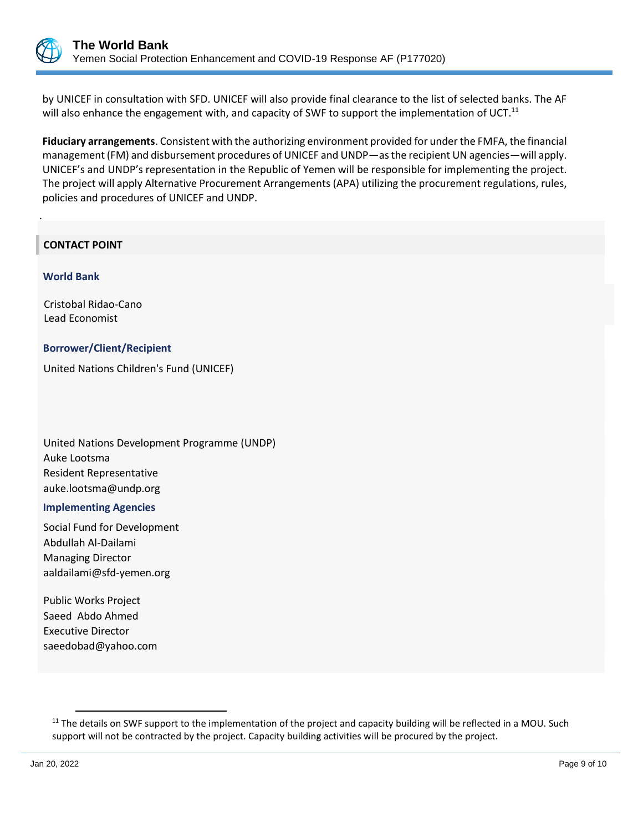

.

by UNICEF in consultation with SFD. UNICEF will also provide final clearance to the list of selected banks. The AF will also enhance the engagement with, and capacity of SWF to support the implementation of UCT.<sup>11</sup>

**Fiduciary arrangements**. Consistent with the authorizing environment provided for under the FMFA, the financial management (FM) and disbursement procedures of UNICEF and UNDP—as the recipient UN agencies—will apply. UNICEF's and UNDP's representation in the Republic of Yemen will be responsible for implementing the project. The project will apply Alternative Procurement Arrangements (APA) utilizing the procurement regulations, rules, policies and procedures of UNICEF and UNDP.

## **CONTACT POINT**

 **World Bank**

Cristobal Ridao-Cano Lead Economist

### **Borrower/Client/Recipient**

United Nations Children's Fund (UNICEF)

United Nations Development Programme (UNDP) Auke Lootsma Resident Representative auke.lootsma@undp.org

#### **Implementing Agencies**

Social Fund for Development Abdullah Al-Dailami Managing Director aaldailami@sfd-yemen.org

Public Works Project Saeed Abdo Ahmed Executive Director saeedobad@yahoo.com

 $11$  The details on SWF support to the implementation of the project and capacity building will be reflected in a MOU. Such support will not be contracted by the project. Capacity building activities will be procured by the project.